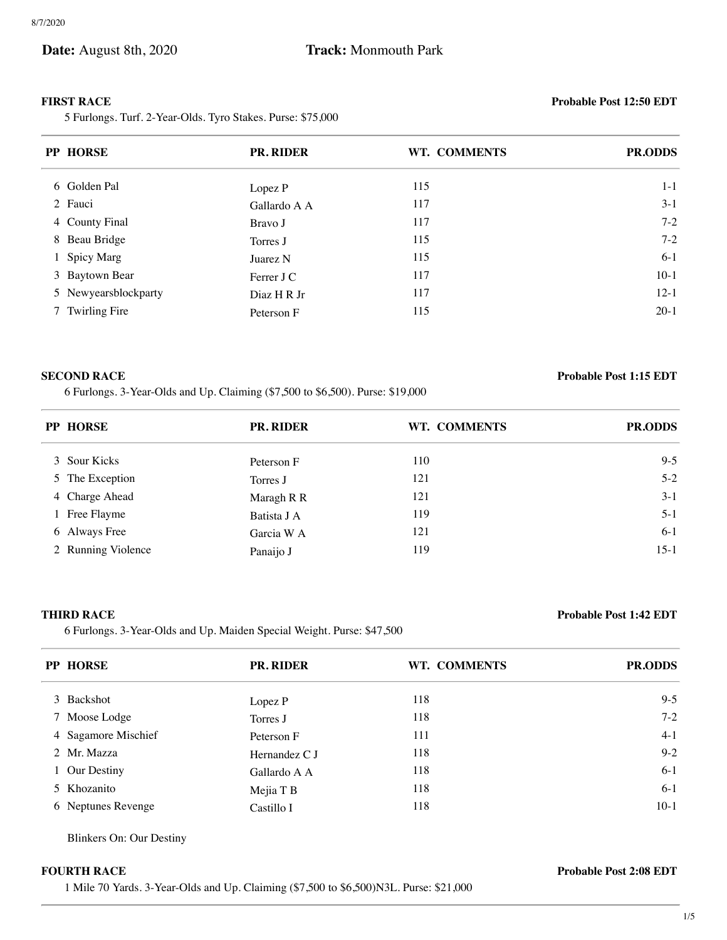ł.

5 Furlongs. Turf. 2-Year-Olds. Tyro Stakes. Purse: \$75,000

### **FIRST RACE Probable Post 12:50 EDT**

| <b>PP HORSE</b>      | <b>PR. RIDER</b> | WT. COMMENTS | <b>PR.ODDS</b> |
|----------------------|------------------|--------------|----------------|
| 6 Golden Pal         | Lopez P          | 115          | $1 - 1$        |
| 2 Fauci              | Gallardo A A     | 117          | $3-1$          |
| 4 County Final       | Bravo J          | 117          | $7-2$          |
| 8 Beau Bridge        | Torres J         | 115          | $7 - 2$        |
| 1 Spicy Marg         | Juarez N         | 115          | $6-1$          |
| 3 Baytown Bear       | Ferrer J C       | 117          | $10-1$         |
| 5 Newyearsblockparty | Diaz H R Jr      | 117          | $12-1$         |
| 7 Twirling Fire      | Peterson F       | 115          | $20-1$         |

6 Furlongs. 3-Year-Olds and Up. Claiming (\$7,500 to \$6,500). Purse: \$19,000

### **SECOND RACE Probable Post 1:15 EDT**

| <b>PP HORSE</b>    | <b>PR. RIDER</b> | WT. COMMENTS | <b>PR.ODDS</b> |
|--------------------|------------------|--------------|----------------|
| 3 Sour Kicks       | Peterson F       | 110          | $9 - 5$        |
| 5 The Exception    | Torres J         | 121          | $5 - 2$        |
| 4 Charge Ahead     | Maragh R R       | 121          | $3-1$          |
| 1 Free Flayme      | Batista J A      | 119          | $5 - 1$        |
| 6 Always Free      | Garcia W A       | 121          | $6-1$          |
| 2 Running Violence | Panaijo J        | 119          | $15-1$         |

6 Furlongs. 3-Year-Olds and Up. Maiden Special Weight. Purse: \$47,500

# **THIRD RACE Probable Post 1:42 EDT**

| <b>PP HORSE</b>     | <b>PR. RIDER</b> | WT. COMMENTS | <b>PR.ODDS</b> |
|---------------------|------------------|--------------|----------------|
| 3 Backshot          | Lopez P          | 118          | $9 - 5$        |
| 7 Moose Lodge       | Torres J         | 118          | $7-2$          |
| 4 Sagamore Mischief | Peterson F       | 111          | $4-1$          |
| 2 Mr. Mazza         | Hernandez C J    | 118          | $9 - 2$        |
| 1 Our Destiny       | Gallardo A A     | 118          | $6-1$          |
| 5 Khozanito         | Mejia T B        | 118          | $6-1$          |
| 6 Neptunes Revenge  | Castillo I       | 118          | $10-1$         |

Blinkers On: Our Destiny

1 Mile 70 Yards. 3-Year-Olds and Up. Claiming (\$7,500 to \$6,500)N3L. Purse: \$21,000

**FOURTH RACE Probable Post 2:08 EDT**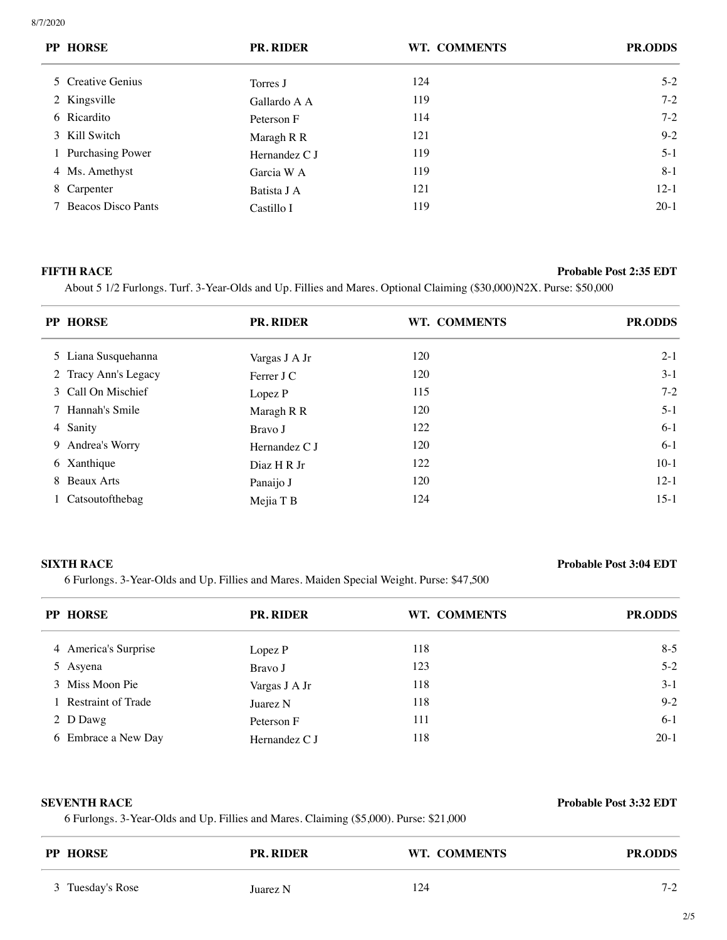| <b>PP HORSE</b>      | <b>PR. RIDER</b> | WT. COMMENTS | <b>PR.ODDS</b> |
|----------------------|------------------|--------------|----------------|
| 5 Creative Genius    | Torres J         | 124          | $5-2$          |
| 2 Kingsville         | Gallardo A A     | 119          | $7 - 2$        |
| 6 Ricardito          | Peterson F       | 114          | $7 - 2$        |
| 3 Kill Switch        | Maragh R R       | 121          | $9 - 2$        |
| 1 Purchasing Power   | Hernandez C J    | 119          | $5 - 1$        |
| 4 Ms. Amethyst       | Garcia W A       | 119          | $8-1$          |
| 8 Carpenter          | Batista J A      | 121          | $12 - 1$       |
| 7 Beacos Disco Pants | Castillo I       | 119          | $20-1$         |

### **FIFTH RACE Probable Post 2:35 EDT**

About 5 1/2 Furlongs. Turf. 3-Year-Olds and Up. Fillies and Mares. Optional Claiming (\$30,000)N2X. Purse: \$50,000

| <b>PP HORSE</b>      | <b>PR. RIDER</b> | WT. COMMENTS | <b>PR.ODDS</b> |
|----------------------|------------------|--------------|----------------|
| 5 Liana Susquehanna  | Vargas J A Jr    | 120          | $2 - 1$        |
| 2 Tracy Ann's Legacy | Ferrer J C       | 120          | $3-1$          |
| 3 Call On Mischief   | Lopez P          | 115          | $7 - 2$        |
| 7 Hannah's Smile     | Maragh R R       | 120          | $5 - 1$        |
| 4 Sanity             | Bravo J          | 122          | $6-1$          |
| 9 Andrea's Worry     | Hernandez C J    | 120          | $6-1$          |
| 6 Xanthique          | Diaz H R Jr      | 122          | $10-1$         |
| 8 Beaux Arts         | Panaijo J        | 120          | $12-1$         |
| 1 Catsoutofthebag    | Mejia T B        | 124          | $15-1$         |

6 Furlongs. 3-Year-Olds and Up. Fillies and Mares. Maiden Special Weight. Purse: \$47,500

# **SIXTH RACE Probable Post 3:04 EDT**

| <b>PP HORSE</b>      | <b>PR. RIDER</b> | WT. COMMENTS | <b>PR.ODDS</b> |
|----------------------|------------------|--------------|----------------|
| 4 America's Surprise | Lopez P          | 118          | $8 - 5$        |
| 5 Asyena             | Bravo J          | 123          | $5 - 2$        |
| 3 Miss Moon Pie      | Vargas J A Jr    | 118          | $3-1$          |
| 1 Restraint of Trade | Juarez N         | 118          | $9 - 2$        |
| 2 D Dawg             | Peterson F       | 111          | $6-1$          |
| 6 Embrace a New Day  | Hernandez C J    | 118          | $20-1$         |

6 Furlongs. 3-Year-Olds and Up. Fillies and Mares. Claiming (\$5,000). Purse: \$21,000

|                     | <b>Probable Post 3:32 EDT</b> |
|---------------------|-------------------------------|
| <b>SEVENTH RACE</b> |                               |

| <b>PP HORSE</b>  | <b>PR. RIDER</b> | WT. COMMENTS | <b>PR.ODDS</b> |
|------------------|------------------|--------------|----------------|
| 3 Tuesday's Rose | Juarez N         | 124          | $7-2$          |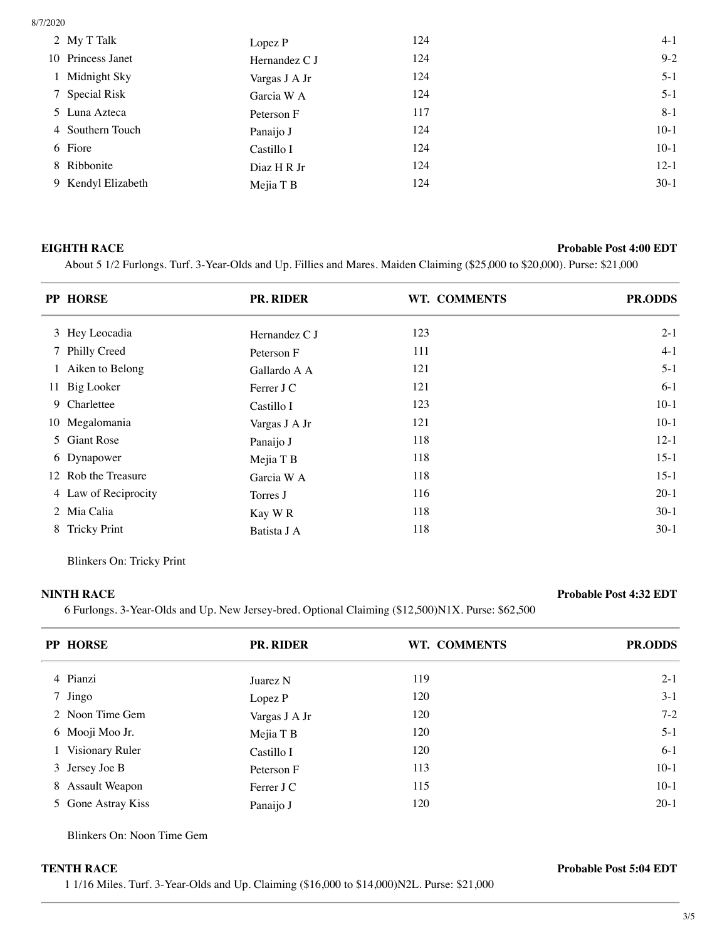| 2 My T Talk        | Lopez P       | 124 | $4-1$    |
|--------------------|---------------|-----|----------|
| 10 Princess Janet  | Hernandez C J | 124 | $9 - 2$  |
| 1 Midnight Sky     | Vargas J A Jr | 124 | $5 - 1$  |
| 7 Special Risk     | Garcia W A    | 124 | $5 - 1$  |
| 5 Luna Azteca      | Peterson F    | 117 | $8 - 1$  |
| 4 Southern Touch   | Panaijo J     | 124 | $10-1$   |
| 6 Fiore            | Castillo I    | 124 | $10-1$   |
| 8 Ribbonite        | Diaz H R Jr   | 124 | $12 - 1$ |
| 9 Kendyl Elizabeth | Mejia T B     | 124 | $30-1$   |
|                    |               |     |          |

### **EIGHTH RACE Probable Post 4:00 EDT**

About 5 1/2 Furlongs. Turf. 3-Year-Olds and Up. Fillies and Mares. Maiden Claiming (\$25,000 to \$20,000). Purse: \$21,000

|   | PP HORSE             | PR. RIDER     | WT. COMMENTS | <b>PR.ODDS</b> |
|---|----------------------|---------------|--------------|----------------|
|   | 3 Hey Leocadia       | Hernandez C J | 123          | $2 - 1$        |
|   | 7 Philly Creed       | Peterson F    | 111          | $4-1$          |
|   | 1 Aiken to Belong    | Gallardo A A  | 121          | $5 - 1$        |
|   | 11 Big Looker        | Ferrer J C    | 121          | $6-1$          |
|   | 9 Charlettee         | Castillo I    | 123          | $10-1$         |
|   | 10 Megalomania       | Vargas J A Jr | 121          | $10-1$         |
|   | 5 Giant Rose         | Panaijo J     | 118          | $12-1$         |
|   | 6 Dynapower          | Mejia T B     | 118          | $15-1$         |
|   | 12 Rob the Treasure  | Garcia W A    | 118          | $15-1$         |
|   | 4 Law of Reciprocity | Torres J      | 116          | $20-1$         |
|   | 2 Mia Calia          | Kay WR        | 118          | $30-1$         |
| 8 | <b>Tricky Print</b>  | Batista J A   | 118          | $30-1$         |

Blinkers On: Tricky Print

 $\overline{\phantom{a}}$ 

# **NINTH RACE Probable Post 4:32 EDT**

6 Furlongs. 3-Year-Olds and Up. New Jersey-bred. Optional Claiming (\$12,500)N1X. Purse: \$62,500

| PP HORSE           | <b>PR. RIDER</b> | WT. COMMENTS | <b>PR.ODDS</b> |
|--------------------|------------------|--------------|----------------|
| 4 Pianzi           | Juarez N         | 119          | $2-1$          |
| 7 Jingo            | Lopez P          | 120          | $3-1$          |
| 2 Noon Time Gem    | Vargas J A Jr    | 120          | $7-2$          |
| 6 Mooji Moo Jr.    | Mejia T B        | 120          | $5 - 1$        |
| 1 Visionary Ruler  | Castillo I       | 120          | $6-1$          |
| 3 Jersey Joe B     | Peterson F       | 113          | $10-1$         |
| 8 Assault Weapon   | Ferrer J C       | 115          | $10-1$         |
| 5 Gone Astray Kiss | Panaijo J        | 120          | $20-1$         |

Blinkers On: Noon Time Gem

1 1/16 Miles. Turf. 3-Year-Olds and Up. Claiming (\$16,000 to \$14,000)N2L. Purse: \$21,000

**TENTH RACE Probable Post 5:04 EDT**